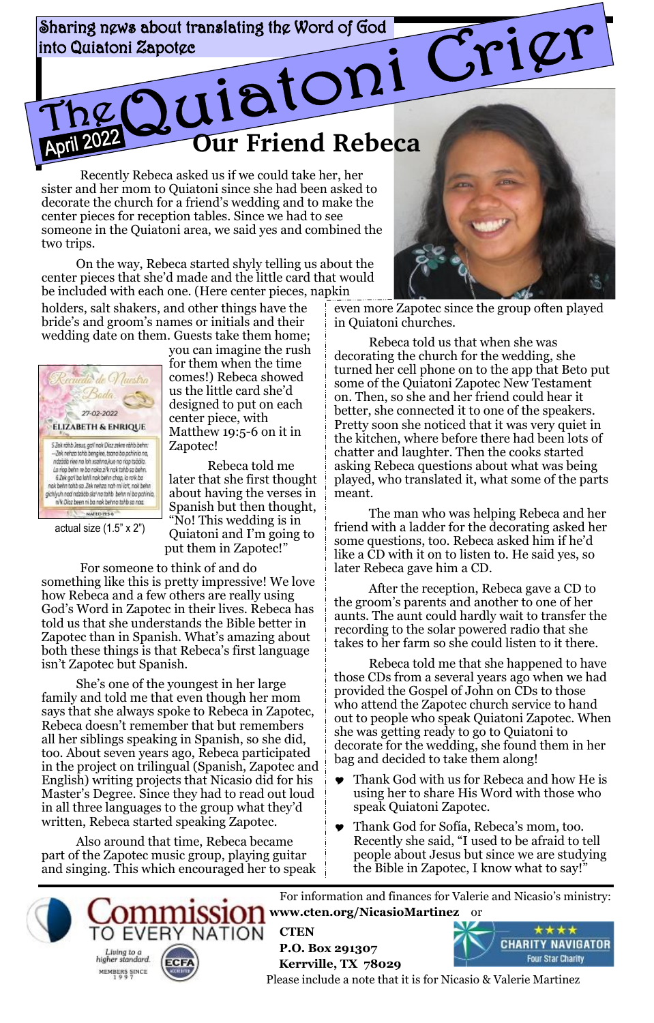Sharing news about translating the Word of God **Our Friend Rebeca** into Quiatoni Zapotge

Recently Rebeca asked us if we could take her, her sister and her mom to Quiatoni since she had been asked to decorate the church for a friend's wedding and to make the center pieces for reception tables. Since we had to see someone in the Quiatoni area, we said yes and combined the two trips.

On the way, Rebeca started shyly telling us about the center pieces that she'd made and the little card that would be included with each one. (Here center pieces, napkin

holders, salt shakers, and other things have the bride's and groom's names or initials and their wedding date on them. Guests take them home;



2022

actual size (1.5" x 2")

you can imagine the rush for them when the time comes!) Rebeca showed us the little card she'd designed to put on each center piece, with Matthew 19:5-6 on it in Zapotec!

Rebeca told me later that she first thought about having the verses in Spanish but then thought, "No! This wedding is in Quiatoni and I'm going to put them in Zapotec!"

For someone to think of and do something like this is pretty impressive! We love how Rebeca and a few others are really using God's Word in Zapotec in their lives. Rebeca has told us that she understands the Bible better in Zapotec than in Spanish. What's amazing about both these things is that Rebeca's first language isn't Zapotec but Spanish.

She's one of the youngest in her large family and told me that even though her mom says that she always spoke to Rebeca in Zapotec, Rebeca doesn't remember that but remembers all her siblings speaking in Spanish, so she did, too. About seven years ago, Rebeca participated in the project on trilingual (Spanish, Zapotec and English) writing projects that Nicasio did for his Master's Degree. Since they had to read out loud in all three languages to the group what they'd written, Rebeca started speaking Zapotec.

Also around that time, Rebeca became part of the Zapotec music group, playing guitar and singing. This which encouraged her to speak

**ECFA** 

Living to a

higher standard.

MEMBERS SINCE

**ERY NATION** 



even more Zapotec since the group often played in Quiatoni churches.

Rebeca told us that when she was decorating the church for the wedding, she turned her cell phone on to the app that Beto put some of the Quiatoni Zapotec New Testament on. Then, so she and her friend could hear it better, she connected it to one of the speakers. Pretty soon she noticed that it was very quiet in the kitchen, where before there had been lots of chatter and laughter. Then the cooks started asking Rebeca questions about what was being played, who translated it, what some of the parts meant.

The man who was helping Rebeca and her friend with a ladder for the decorating asked her some questions, too. Rebeca asked him if he'd like a CD with it on to listen to. He said yes, so later Rebeca gave him a CD.

After the reception, Rebeca gave a CD to the groom's parents and another to one of her aunts. The aunt could hardly wait to transfer the recording to the solar powered radio that she takes to her farm so she could listen to it there.

Rebeca told me that she happened to have those CDs from a several years ago when we had provided the Gospel of John on CDs to those who attend the Zapotec church service to hand out to people who speak Quiatoni Zapotec. When she was getting ready to go to Quiatoni to decorate for the wedding, she found them in her bag and decided to take them along!

- Thank God with us for Rebeca and how He is using her to share His Word with those who speak Quiatoni Zapotec.
- Thank God for Sofía, Rebeca's mom, too. Recently she said, "I used to be afraid to tell people about Jesus but since we are studying the Bible in Zapotec, I know what to say!"

For information and finances for Valerie and Nicasio's ministry: **www.cten.org/NicasioMartinez** or

 **CTEN P.O. Box 291307 Kerrville, TX 78029**



Please include a note that it is for Nicasio & Valerie Martinez